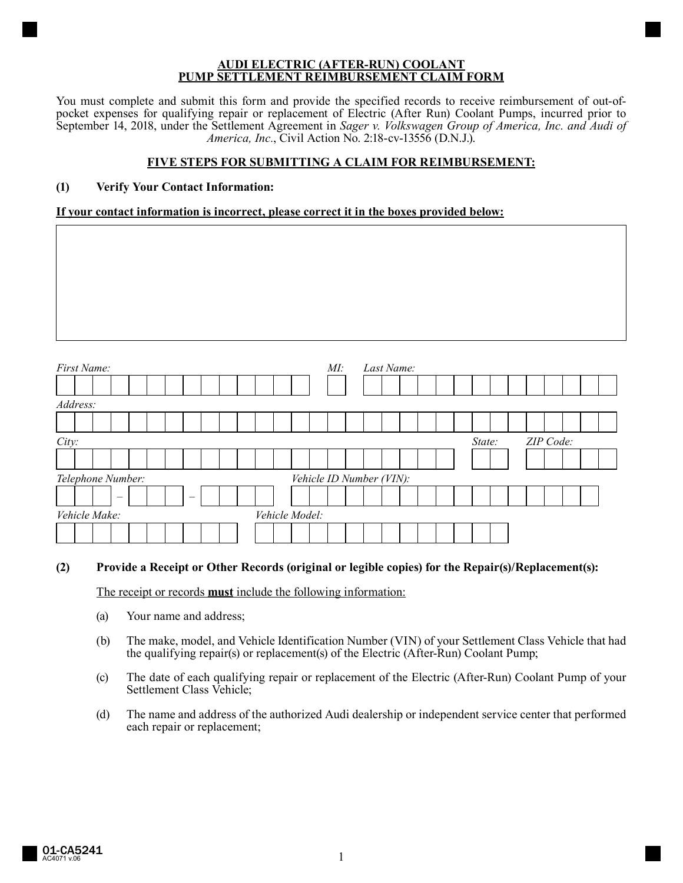#### **AUDI ELECTRIC (AFTER-RUN) COOLANT PUMP SETTLEMENT REIMBURSEMENT CLAIM FORM**

You must complete and submit this form and provide the specified records to receive reimbursement of out-ofpocket expenses for qualifying repair or replacement of Electric (After Run) Coolant Pumps, incurred prior to September 14, 2018, under the Settlement Agreement in *Sager v. Volkswagen Group of America, Inc. and Audi of America, Inc.*, Civil Action No. 2:18-cv-13556 (D.N.J.).

## **FIVE STEPS FOR SUBMITTING A CLAIM FOR REIMBURSEMENT:**

# **(1) Verify Your Contact Information:**

## **If your contact information is incorrect, please correct it in the boxes provided below:**

| First Name:              |                | M! | Last Name:               |
|--------------------------|----------------|----|--------------------------|
|                          |                |    |                          |
| Address:                 |                |    |                          |
|                          |                |    |                          |
| City:                    |                |    | ZIP Code:<br>State:      |
|                          |                |    |                          |
| Telephone Number:        |                |    | Vehicle ID Number (VIN): |
| $\overline{\phantom{m}}$ |                |    |                          |
| Vehicle Make:            | Vehicle Model: |    |                          |
|                          |                |    |                          |

### **(2) Provide a Receipt or Other Records (original or legible copies) for the Repair(s)/Replacement(s):**

The receipt or records **must** include the following information:

- (a) Your name and address;
- (b) The make, model, and Vehicle Identification Number (VIN) of your Settlement Class Vehicle that had the qualifying repair(s) or replacement(s) of the Electric (After-Run) Coolant Pump;
- (c) The date of each qualifying repair or replacement of the Electric (After-Run) Coolant Pump of your Settlement Class Vehicle;
- (d) The name and address of the authorized Audi dealership or independent service center that performed each repair or replacement;